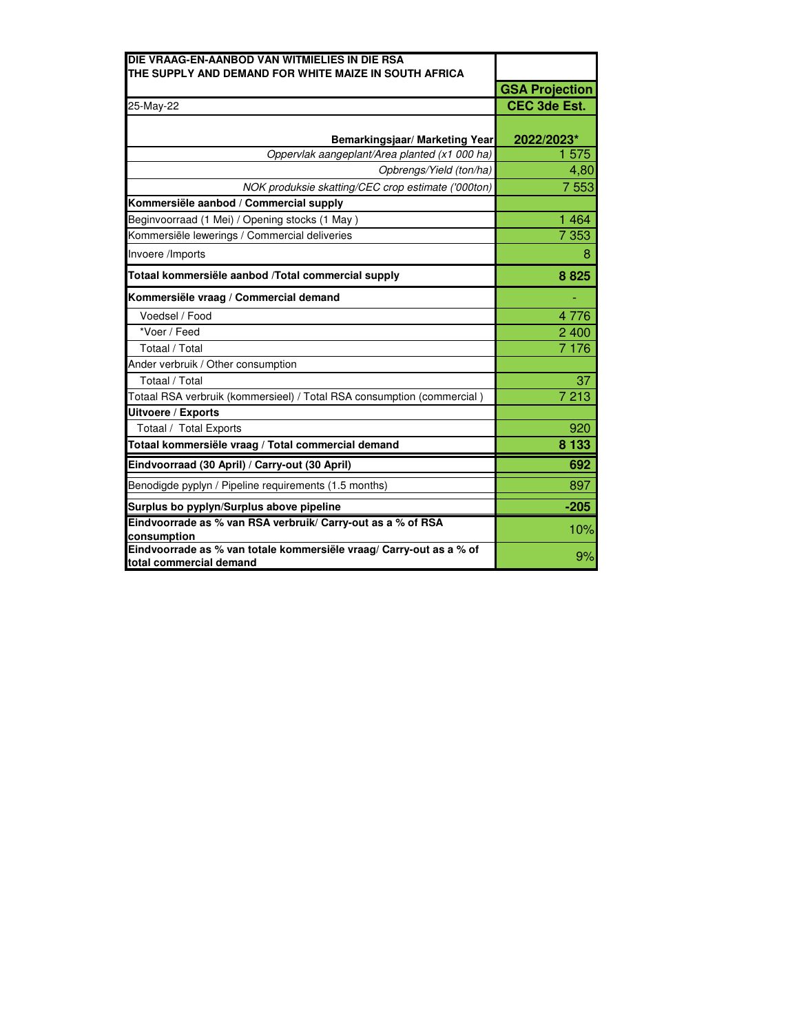| DIE VRAAG-EN-AANBOD VAN WITMIELIES IN DIE RSA                                                  |                       |
|------------------------------------------------------------------------------------------------|-----------------------|
| THE SUPPLY AND DEMAND FOR WHITE MAIZE IN SOUTH AFRICA                                          |                       |
|                                                                                                | <b>GSA Projection</b> |
| 25-May-22                                                                                      | <b>CEC 3de Est.</b>   |
|                                                                                                |                       |
| Bemarkingsjaar/ Marketing Year                                                                 | 2022/2023*            |
| Oppervlak aangeplant/Area planted (x1 000 ha)                                                  | 1575                  |
| Opbrengs/Yield (ton/ha)                                                                        | 4,80                  |
| NOK produksie skatting/CEC crop estimate ('000ton)                                             | 7 5 5 3               |
| Kommersiële aanbod / Commercial supply                                                         |                       |
| Beginvoorraad (1 Mei) / Opening stocks (1 May)                                                 | 1 4 6 4               |
| Kommersiële lewerings / Commercial deliveries                                                  | 7 3 5 3               |
| Invoere /Imports                                                                               | 8                     |
| Totaal kommersiële aanbod /Total commercial supply                                             | 8825                  |
| Kommersiële vraag / Commercial demand                                                          |                       |
| Voedsel / Food                                                                                 | 4776                  |
| *Voer / Feed                                                                                   | 2 400                 |
| Totaal / Total                                                                                 | 7 1 7 6               |
| Ander verbruik / Other consumption                                                             |                       |
| Totaal / Total                                                                                 | 37                    |
| Totaal RSA verbruik (kommersieel) / Total RSA consumption (commercial)                         | 7 213                 |
| Uitvoere / Exports                                                                             |                       |
| Totaal / Total Exports                                                                         | 920                   |
| Totaal kommersiële vraag / Total commercial demand                                             | 8 1 3 3               |
| Eindvoorraad (30 April) / Carry-out (30 April)                                                 | 692                   |
| Benodigde pyplyn / Pipeline requirements (1.5 months)                                          | 897                   |
| Surplus bo pyplyn/Surplus above pipeline                                                       | $-205$                |
| Eindvoorrade as % van RSA verbruik/ Carry-out as a % of RSA<br>consumption                     | 10%                   |
| Eindvoorrade as % van totale kommersiële vraag/ Carry-out as a % of<br>total commercial demand | 9%                    |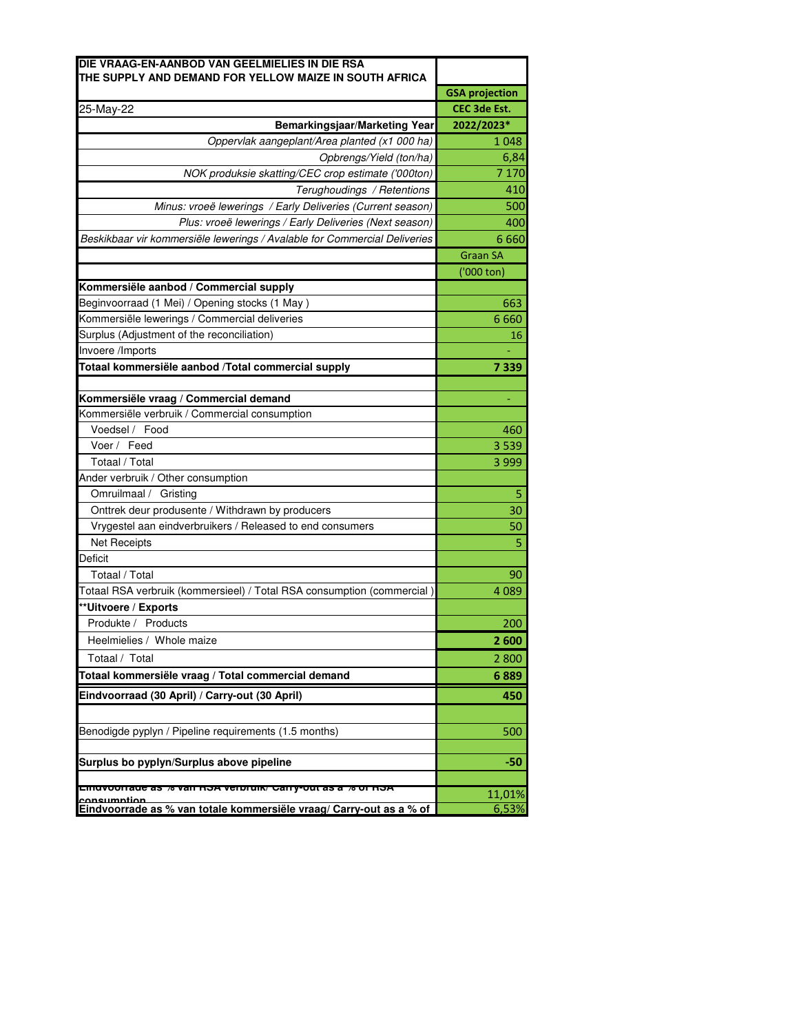| DIE VRAAG-EN-AANBOD VAN GEELMIELIES IN DIE RSA<br>THE SUPPLY AND DEMAND FOR YELLOW MAIZE IN SOUTH AFRICA |                       |
|----------------------------------------------------------------------------------------------------------|-----------------------|
|                                                                                                          | <b>GSA projection</b> |
| 25-May-22                                                                                                | CEC 3de Est.          |
| Bemarkingsjaar/Marketing Year                                                                            | 2022/2023*            |
| Oppervlak aangeplant/Area planted (x1 000 ha)                                                            | 1048                  |
| Opbrengs/Yield (ton/ha)                                                                                  | 6,84                  |
| NOK produksie skatting/CEC crop estimate ('000ton)                                                       | 7 1 7 0               |
| Terughoudings / Retentions                                                                               | 410                   |
| Minus: vroeë lewerings / Early Deliveries (Current season)                                               | 500                   |
| Plus: vroeë lewerings / Early Deliveries (Next season)                                                   | 400                   |
| Beskikbaar vir kommersiële lewerings / Avalable for Commercial Deliveries                                | 6 6 6 0               |
|                                                                                                          | <b>Graan SA</b>       |
|                                                                                                          | ('000 ton)            |
| Kommersiële aanbod / Commercial supply                                                                   |                       |
| Beginvoorraad (1 Mei) / Opening stocks (1 May)                                                           | 663                   |
| Kommersiële lewerings / Commercial deliveries                                                            | 6660                  |
| Surplus (Adjustment of the reconciliation)                                                               | 16                    |
| Invoere /Imports                                                                                         |                       |
| Totaal kommersiële aanbod /Total commercial supply                                                       | 7339                  |
|                                                                                                          |                       |
| Kommersiële vraag / Commercial demand                                                                    |                       |
| Kommersiële verbruik / Commercial consumption                                                            |                       |
| Voedsel / Food                                                                                           | 460                   |
| Voer / Feed                                                                                              | 3539                  |
| Totaal / Total                                                                                           | 3 9 9 9               |
| Ander verbruik / Other consumption                                                                       |                       |
| Omruilmaal / Gristing                                                                                    | 5                     |
| Onttrek deur produsente / Withdrawn by producers                                                         | 30                    |
| Vrygestel aan eindverbruikers / Released to end consumers                                                | 50                    |
| Net Receipts                                                                                             | 5                     |
| <b>Deficit</b>                                                                                           |                       |
| Totaal / Total                                                                                           | 90                    |
| Totaal RSA verbruik (kommersieel) / Total RSA consumption (commercial)                                   | 4 0 8 9               |
| **Uitvoere / Exports                                                                                     |                       |
| Produkte / Products                                                                                      | 200                   |
| Heelmielies / Whole maize                                                                                | <b>Z 600</b>          |
| Totaal / Total                                                                                           | 2800                  |
| Totaal kommersiële vraag / Total commercial demand                                                       | 6889                  |
| Eindvoorraad (30 April) / Carry-out (30 April)                                                           | 450                   |
|                                                                                                          |                       |
| Benodigde pyplyn / Pipeline requirements (1.5 months)                                                    | 500                   |
|                                                                                                          |                       |
| Surplus bo pyplyn/Surplus above pipeline                                                                 | -50                   |
|                                                                                                          |                       |
| Elliuvoorrade as % vall RSA verbruik/ Carry-out as a % of RSA<br>consumntion                             | 11,01%                |
| Eindvoorrade as % van totale kommersiële vraag/ Carry-out as a % of                                      | 6,53%                 |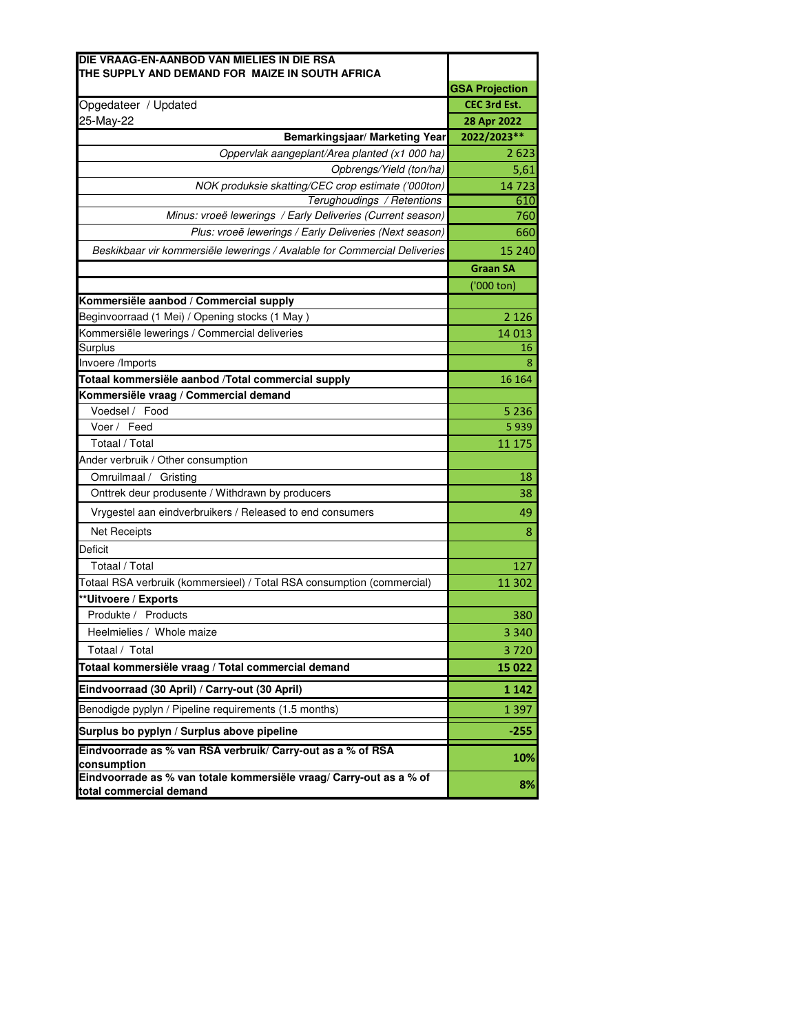| DIE VRAAG-EN-AANBOD VAN MIELIES IN DIE RSA                                                  |                       |
|---------------------------------------------------------------------------------------------|-----------------------|
| THE SUPPLY AND DEMAND FOR MAIZE IN SOUTH AFRICA                                             | <b>GSA Projection</b> |
| Opgedateer / Updated                                                                        | <b>CEC 3rd Est.</b>   |
| 25-May-22                                                                                   | 28 Apr 2022           |
| Bemarkingsjaar/ Marketing Year                                                              | 2022/2023**           |
| Oppervlak aangeplant/Area planted (x1 000 ha)                                               | 2623                  |
| Opbrengs/Yield (ton/ha)                                                                     | 5,61                  |
| NOK produksie skatting/CEC crop estimate ('000ton)                                          | 14723                 |
| Terughoudings / Retentions                                                                  | 610                   |
| Minus: vroeë lewerings / Early Deliveries (Current season)                                  | 760                   |
| Plus: vroeë lewerings / Early Deliveries (Next season)                                      | 660                   |
| Beskikbaar vir kommersiële lewerings / Avalable for Commercial Deliveries                   | 15 240                |
|                                                                                             | <b>Graan SA</b>       |
|                                                                                             | ('000 ton)            |
| Kommersiële aanbod / Commercial supply                                                      |                       |
| Beginvoorraad (1 Mei) / Opening stocks (1 May)                                              | 2 1 2 6               |
| Kommersiële lewerings / Commercial deliveries                                               | 14 0 13               |
| Surplus                                                                                     | 16                    |
| Invoere /Imports                                                                            | 8                     |
| Totaal kommersiële aanbod /Total commercial supply<br>Kommersiële vraag / Commercial demand | 16 164                |
| Voedsel / Food                                                                              | 5 2 3 6               |
| Voer / Feed                                                                                 | 5939                  |
| Totaal / Total                                                                              | 11 175                |
| Ander verbruik / Other consumption                                                          |                       |
| Omruilmaal /<br>Gristing                                                                    | 18                    |
| Onttrek deur produsente / Withdrawn by producers                                            | 38                    |
| Vrygestel aan eindverbruikers / Released to end consumers                                   | 49                    |
| <b>Net Receipts</b>                                                                         | 8                     |
| Deficit                                                                                     |                       |
| Totaal / Total                                                                              | 127                   |
| Totaal RSA verbruik (kommersieel) / Total RSA consumption (commercial)                      | 11 302                |
| **Uitvoere / Exports                                                                        |                       |
| Produkte / Products                                                                         | 380                   |
| Heelmielies / Whole maize                                                                   | 3 3 4 0               |
| Totaal / Total                                                                              | 3720                  |
| Totaal kommersiële vraag / Total commercial demand                                          | 15 022                |
| Eindvoorraad (30 April) / Carry-out (30 April)                                              | 1 1 4 2               |
| Benodigde pyplyn / Pipeline requirements (1.5 months)                                       | 1 3 9 7               |
| Surplus bo pyplyn / Surplus above pipeline                                                  | $-255$                |
| Eindvoorrade as % van RSA verbruik/ Carry-out as a % of RSA                                 | 10%                   |
| consumption<br>Eindvoorrade as % van totale kommersiële vraag/ Carry-out as a % of          |                       |
| total commercial demand                                                                     | 8%                    |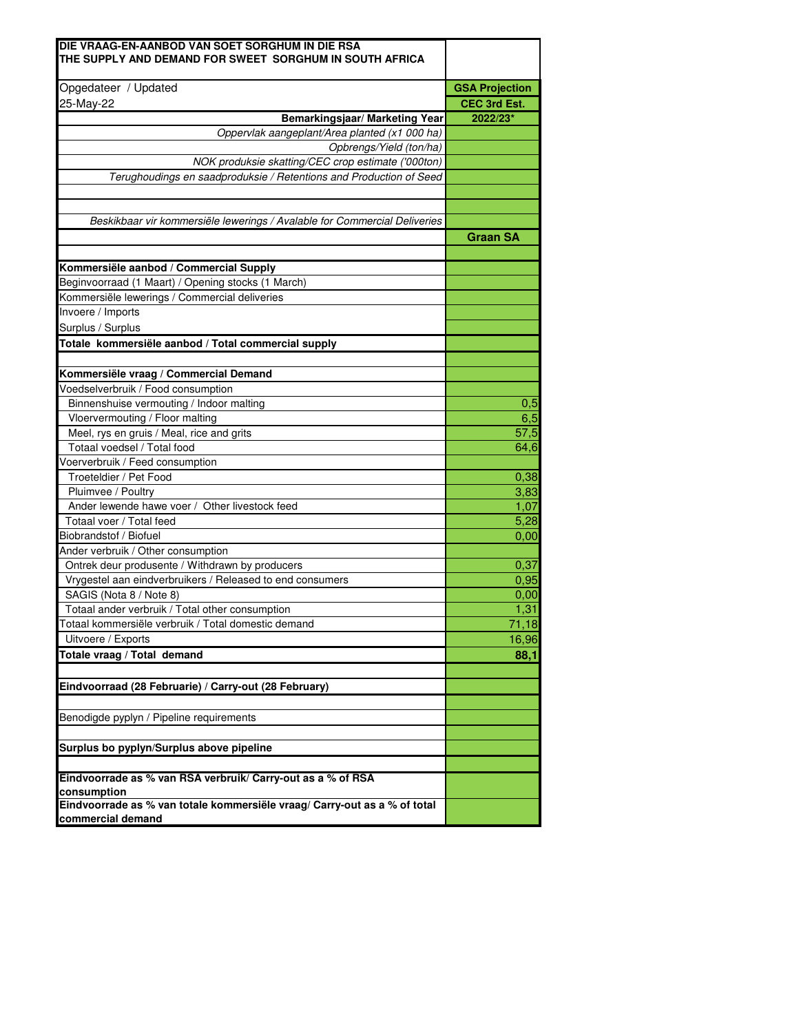| Opgedateer / Updated                                                                           | <b>GSA Projection</b> |
|------------------------------------------------------------------------------------------------|-----------------------|
| 25-May-22                                                                                      | CEC 3rd Est.          |
| Bemarkingsjaar/ Marketing Year                                                                 | 2022/23*              |
| Oppervlak aangeplant/Area planted (x1 000 ha)                                                  |                       |
| Opbrengs/Yield (ton/ha)                                                                        |                       |
| NOK produksie skatting/CEC crop estimate ('000ton)                                             |                       |
| Terughoudings en saadproduksie / Retentions and Production of Seed                             |                       |
|                                                                                                |                       |
|                                                                                                |                       |
| Beskikbaar vir kommersiële lewerings / Avalable for Commercial Deliveries                      |                       |
|                                                                                                | <b>Graan SA</b>       |
|                                                                                                |                       |
| Kommersiële aanbod / Commercial Supply                                                         |                       |
| Beginvoorraad (1 Maart) / Opening stocks (1 March)                                             |                       |
| Kommersiële lewerings / Commercial deliveries                                                  |                       |
| Invoere / Imports                                                                              |                       |
| Surplus / Surplus                                                                              |                       |
| Totale kommersiële aanbod / Total commercial supply                                            |                       |
| Kommersiële vraag / Commercial Demand                                                          |                       |
| Voedselverbruik / Food consumption                                                             |                       |
|                                                                                                |                       |
| Binnenshuise vermouting / Indoor malting                                                       | 0,5                   |
| Vloervermouting / Floor malting                                                                | 6,5<br>57,5           |
| Meel, rys en gruis / Meal, rice and grits<br>Totaal voedsel / Total food                       |                       |
| Voerverbruik / Feed consumption                                                                | 64,6                  |
| Troeteldier / Pet Food                                                                         | 0,38                  |
| Pluimvee / Poultry                                                                             | 3,83                  |
| Ander lewende hawe voer / Other livestock feed                                                 | 1,07                  |
| Totaal voer / Total feed                                                                       | 5,28                  |
| Biobrandstof / Biofuel                                                                         | 0,00                  |
| Ander verbruik / Other consumption                                                             |                       |
| Ontrek deur produsente / Withdrawn by producers                                                | 0,37                  |
| Vrygestel aan eindverbruikers / Released to end consumers                                      | 0,95                  |
| SAGIS (Nota 8 / Note 8)                                                                        | 0,00                  |
| Totaal ander verbruik / Total other consumption                                                | 1,31                  |
| Totaal kommersiële verbruik / Total domestic demand                                            | 71,18                 |
| Uitvoere / Exports                                                                             | 16,96                 |
| Totale vraag / Total demand                                                                    | 88,1                  |
|                                                                                                |                       |
| Eindvoorraad (28 Februarie) / Carry-out (28 February)                                          |                       |
|                                                                                                |                       |
| Benodigde pyplyn / Pipeline requirements                                                       |                       |
|                                                                                                |                       |
| Surplus bo pyplyn/Surplus above pipeline                                                       |                       |
| Eindvoorrade as % van RSA verbruik/ Carry-out as a % of RSA                                    |                       |
| consumption                                                                                    |                       |
| Eindvoorrade as % van totale kommersiële vraag/ Carry-out as a % of total<br>commercial demand |                       |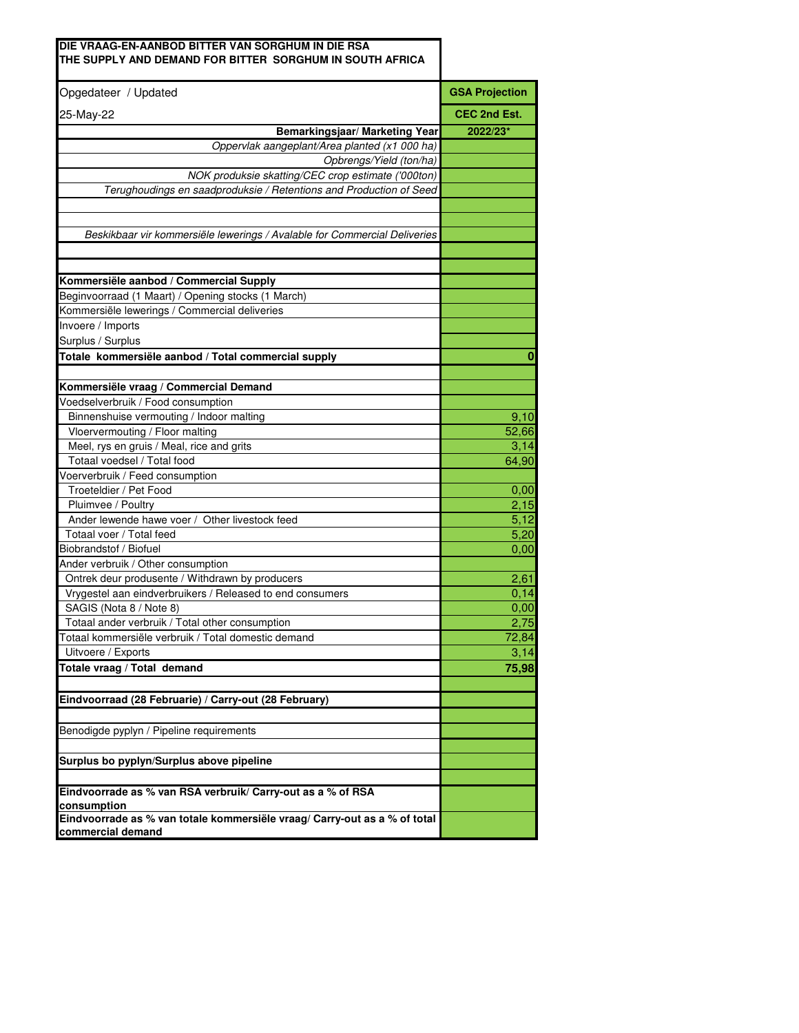| DIE VRAAG-EN-AANBOD BITTER VAN SORGHUM IN DIE RSA<br>THE SUPPLY AND DEMAND FOR BITTER SORGHUM IN SOUTH AFRICA |                       |
|---------------------------------------------------------------------------------------------------------------|-----------------------|
| Opgedateer / Updated                                                                                          | <b>GSA Projection</b> |
| 25-May-22                                                                                                     | CEC 2nd Est.          |
| Bemarkingsjaar/ Marketing Year                                                                                | 2022/23*              |
| Oppervlak aangeplant/Area planted (x1 000 ha)                                                                 |                       |
| Opbrengs/Yield (ton/ha)                                                                                       |                       |
| NOK produksie skatting/CEC crop estimate ('000ton)                                                            |                       |
| Terughoudings en saadproduksie / Retentions and Production of Seed                                            |                       |
|                                                                                                               |                       |
| Beskikbaar vir kommersiële lewerings / Avalable for Commercial Deliveries                                     |                       |
|                                                                                                               |                       |
| Kommersiële aanbod / Commercial Supply                                                                        |                       |
| Beginvoorraad (1 Maart) / Opening stocks (1 March)                                                            |                       |
| Kommersiële lewerings / Commercial deliveries                                                                 |                       |
| Invoere / Imports                                                                                             |                       |
| Surplus / Surplus                                                                                             |                       |
| Totale kommersiële aanbod / Total commercial supply                                                           | 0                     |
|                                                                                                               |                       |
| Kommersiële vraag / Commercial Demand                                                                         |                       |
| Voedselverbruik / Food consumption                                                                            |                       |
| Binnenshuise vermouting / Indoor malting                                                                      | 9,10                  |
| Vloervermouting / Floor malting                                                                               | 52,66                 |
| Meel, rys en gruis / Meal, rice and grits                                                                     | 3,14                  |
| Totaal voedsel / Total food                                                                                   | 64,90                 |
| Voerverbruik / Feed consumption                                                                               |                       |
| Troeteldier / Pet Food                                                                                        | 0,00                  |
| Pluimvee / Poultry                                                                                            | 2,15                  |
| Ander lewende hawe voer / Other livestock feed                                                                | 5,12                  |
| Totaal voer / Total feed                                                                                      | 5,20                  |
| Biobrandstof / Biofuel                                                                                        | 0,00                  |
| Ander verbruik / Other consumption                                                                            |                       |
| Ontrek deur produsente / Withdrawn by producers                                                               | 2,61                  |
| Vrygestel aan eindverbruikers / Released to end consumers                                                     | 0,14                  |
| SAGIS (Nota 8 / Note 8)                                                                                       | 0,00                  |
| Totaal ander verbruik / Total other consumption                                                               | 2.75                  |
| Totaal kommersiële verbruik / Total domestic demand                                                           | 72,84                 |
| Uitvoere / Exports                                                                                            | 3,14                  |
| Totale vraag / Total demand                                                                                   | 75,98                 |
| Eindvoorraad (28 Februarie) / Carry-out (28 February)                                                         |                       |
| Benodigde pyplyn / Pipeline requirements                                                                      |                       |
|                                                                                                               |                       |
| Surplus bo pyplyn/Surplus above pipeline                                                                      |                       |
| Eindvoorrade as % van RSA verbruik/ Carry-out as a % of RSA<br>consumption                                    |                       |
| Eindvoorrade as % van totale kommersiële vraag/ Carry-out as a % of total<br>commercial demand                |                       |